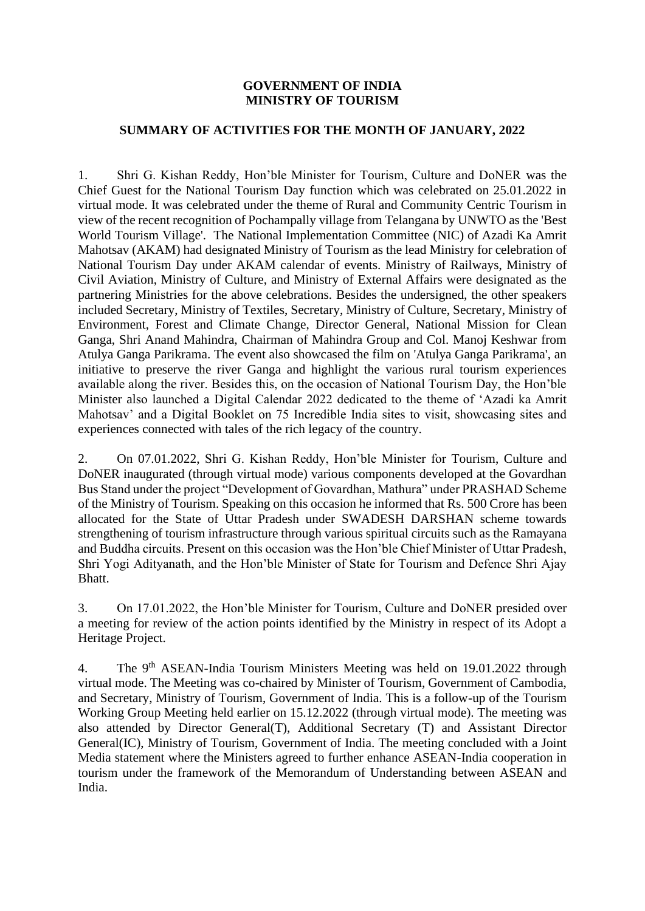## **GOVERNMENT OF INDIA MINISTRY OF TOURISM**

## **SUMMARY OF ACTIVITIES FOR THE MONTH OF JANUARY, 2022**

1. Shri G. Kishan Reddy, Hon'ble Minister for Tourism, Culture and DoNER was the Chief Guest for the National Tourism Day function which was celebrated on 25.01.2022 in virtual mode. It was celebrated under the theme of Rural and Community Centric Tourism in view of the recent recognition of Pochampally village from Telangana by UNWTO as the 'Best World Tourism Village'. The National Implementation Committee (NIC) of Azadi Ka Amrit Mahotsav (AKAM) had designated Ministry of Tourism as the lead Ministry for celebration of National Tourism Day under AKAM calendar of events. Ministry of Railways, Ministry of Civil Aviation, Ministry of Culture, and Ministry of External Affairs were designated as the partnering Ministries for the above celebrations. Besides the undersigned, the other speakers included Secretary, Ministry of Textiles, Secretary, Ministry of Culture, Secretary, Ministry of Environment, Forest and Climate Change, Director General, National Mission for Clean Ganga, Shri Anand Mahindra, Chairman of Mahindra Group and Col. Manoj Keshwar from Atulya Ganga Parikrama. The event also showcased the film on 'Atulya Ganga Parikrama', an initiative to preserve the river Ganga and highlight the various rural tourism experiences available along the river. Besides this, on the occasion of National Tourism Day, the Hon'ble Minister also launched a Digital Calendar 2022 dedicated to the theme of 'Azadi ka Amrit Mahotsav' and a Digital Booklet on 75 Incredible India sites to visit, showcasing sites and experiences connected with tales of the rich legacy of the country.

2. On 07.01.2022, Shri G. Kishan Reddy, Hon'ble Minister for Tourism, Culture and DoNER inaugurated (through virtual mode) various components developed at the Govardhan Bus Stand under the project "Development of Govardhan, Mathura" under PRASHAD Scheme of the Ministry of Tourism. Speaking on this occasion he informed that Rs. 500 Crore has been allocated for the State of Uttar Pradesh under SWADESH DARSHAN scheme towards strengthening of tourism infrastructure through various spiritual circuits such as the Ramayana and Buddha circuits. Present on this occasion was the Hon'ble Chief Minister of Uttar Pradesh, Shri Yogi Adityanath, and the Hon'ble Minister of State for Tourism and Defence Shri Ajay Bhatt.

3. On 17.01.2022, the Hon'ble Minister for Tourism, Culture and DoNER presided over a meeting for review of the action points identified by the Ministry in respect of its Adopt a Heritage Project.

4. The 9th ASEAN-India Tourism Ministers Meeting was held on 19.01.2022 through virtual mode. The Meeting was co-chaired by Minister of Tourism, Government of Cambodia, and Secretary, Ministry of Tourism, Government of India. This is a follow-up of the Tourism Working Group Meeting held earlier on 15.12.2022 (through virtual mode). The meeting was also attended by Director General(T), Additional Secretary (T) and Assistant Director General(IC), Ministry of Tourism, Government of India. The meeting concluded with a Joint Media statement where the Ministers agreed to further enhance ASEAN-India cooperation in tourism under the framework of the Memorandum of Understanding between ASEAN and India.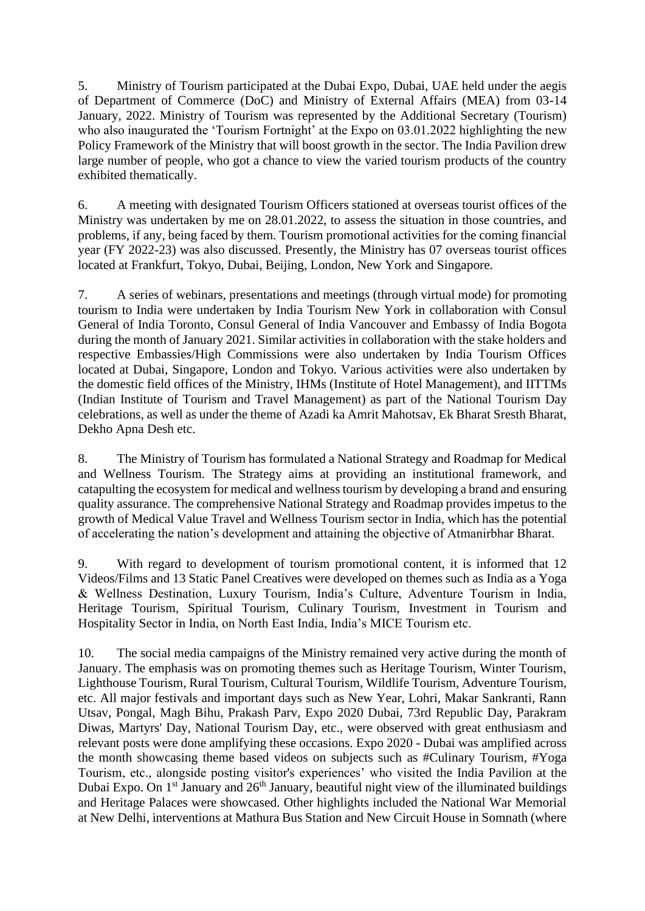5. Ministry of Tourism participated at the Dubai Expo, Dubai, UAE held under the aegis of Department of Commerce (DoC) and Ministry of External Affairs (MEA) from 03-14 January, 2022. Ministry of Tourism was represented by the Additional Secretary (Tourism) who also inaugurated the 'Tourism Fortnight' at the Expo on 03.01.2022 highlighting the new Policy Framework of the Ministry that will boost growth in the sector. The India Pavilion drew large number of people, who got a chance to view the varied tourism products of the country exhibited thematically.

6. A meeting with designated Tourism Officers stationed at overseas tourist offices of the Ministry was undertaken by me on 28.01.2022, to assess the situation in those countries, and problems, if any, being faced by them. Tourism promotional activities for the coming financial year (FY 2022-23) was also discussed. Presently, the Ministry has 07 overseas tourist offices located at Frankfurt, Tokyo, Dubai, Beijing, London, New York and Singapore.

7. A series of webinars, presentations and meetings (through virtual mode) for promoting tourism to India were undertaken by India Tourism New York in collaboration with Consul General of India Toronto, Consul General of India Vancouver and Embassy of India Bogota during the month of January 2021. Similar activities in collaboration with the stake holders and respective Embassies/High Commissions were also undertaken by India Tourism Offices located at Dubai, Singapore, London and Tokyo. Various activities were also undertaken by the domestic field offices of the Ministry, IHMs (Institute of Hotel Management), and IITTMs (Indian Institute of Tourism and Travel Management) as part of the National Tourism Day celebrations, as well as under the theme of Azadi ka Amrit Mahotsav, Ek Bharat Sresth Bharat, Dekho Apna Desh etc.

8. The Ministry of Tourism has formulated a National Strategy and Roadmap for Medical and Wellness Tourism. The Strategy aims at providing an institutional framework, and catapulting the ecosystem for medical and wellness tourism by developing a brand and ensuring quality assurance. The comprehensive National Strategy and Roadmap provides impetus to the growth of Medical Value Travel and Wellness Tourism sector in India, which has the potential of accelerating the nation's development and attaining the objective of Atmanirbhar Bharat.

9. With regard to development of tourism promotional content, it is informed that 12 Videos/Films and 13 Static Panel Creatives were developed on themes such as India as a Yoga & Wellness Destination, Luxury Tourism, India's Culture, Adventure Tourism in India, Heritage Tourism, Spiritual Tourism, Culinary Tourism, Investment in Tourism and Hospitality Sector in India, on North East India, India's MICE Tourism etc.

10. The social media campaigns of the Ministry remained very active during the month of January. The emphasis was on promoting themes such as Heritage Tourism, Winter Tourism, Lighthouse Tourism, Rural Tourism, Cultural Tourism, Wildlife Tourism, Adventure Tourism, etc. All major festivals and important days such as New Year, Lohri, Makar Sankranti, Rann Utsav, Pongal, Magh Bihu, Prakash Parv, Expo 2020 Dubai, 73rd Republic Day, Parakram Diwas, Martyrs' Day, National Tourism Day, etc., were observed with great enthusiasm and relevant posts were done amplifying these occasions. Expo 2020 - Dubai was amplified across the month showcasing theme based videos on subjects such as #Culinary Tourism, #Yoga Tourism, etc., alongside posting visitor's experiences' who visited the India Pavilion at the Dubai Expo. On  $1<sup>st</sup>$  January and  $26<sup>th</sup>$  January, beautiful night view of the illuminated buildings and Heritage Palaces were showcased. Other highlights included the National War Memorial at New Delhi, interventions at Mathura Bus Station and New Circuit House in Somnath (where